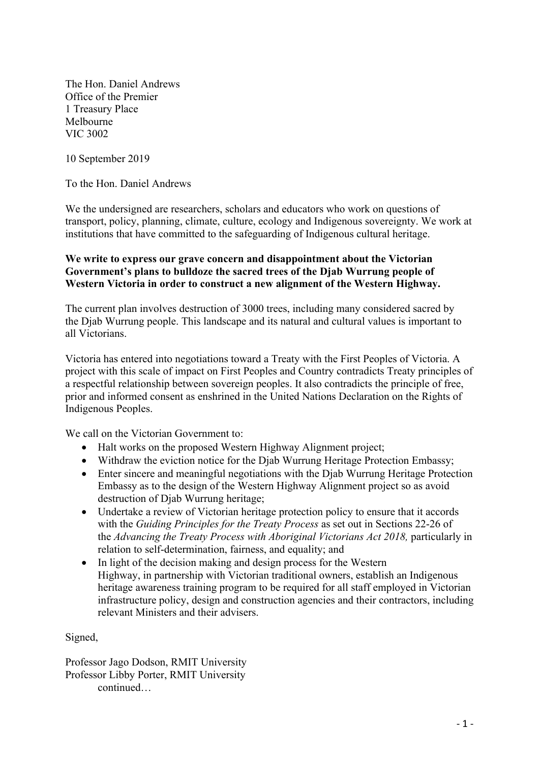The Hon. Daniel Andrews Office of the Premier 1 Treasury Place Melbourne VIC 3002

10 September 2019

To the Hon. Daniel Andrews

We the undersigned are researchers, scholars and educators who work on questions of transport, policy, planning, climate, culture, ecology and Indigenous sovereignty. We work at institutions that have committed to the safeguarding of Indigenous cultural heritage.

## **We write to express our grave concern and disappointment about the Victorian Government's plans to bulldoze the sacred trees of the Djab Wurrung people of Western Victoria in order to construct a new alignment of the Western Highway.**

The current plan involves destruction of 3000 trees, including many considered sacred by the Djab Wurrung people. This landscape and its natural and cultural values is important to all Victorians.

Victoria has entered into negotiations toward a Treaty with the First Peoples of Victoria. A project with this scale of impact on First Peoples and Country contradicts Treaty principles of a respectful relationship between sovereign peoples. It also contradicts the principle of free, prior and informed consent as enshrined in the United Nations Declaration on the Rights of Indigenous Peoples.

We call on the Victorian Government to:

- Halt works on the proposed Western Highway Alignment project;
- Withdraw the eviction notice for the Djab Wurrung Heritage Protection Embassy;
- Enter sincere and meaningful negotiations with the Diab Wurrung Heritage Protection Embassy as to the design of the Western Highway Alignment project so as avoid destruction of Djab Wurrung heritage;
- Undertake a review of Victorian heritage protection policy to ensure that it accords with the *Guiding Principles for the Treaty Process* as set out in Sections 22-26 of the *Advancing the Treaty Process with Aboriginal Victorians Act 2018,* particularly in relation to self-determination, fairness, and equality; and
- In light of the decision making and design process for the Western Highway, in partnership with Victorian traditional owners, establish an Indigenous heritage awareness training program to be required for all staff employed in Victorian infrastructure policy, design and construction agencies and their contractors, including relevant Ministers and their advisers.

Signed,

Professor Jago Dodson, RMIT University Professor Libby Porter, RMIT University continued…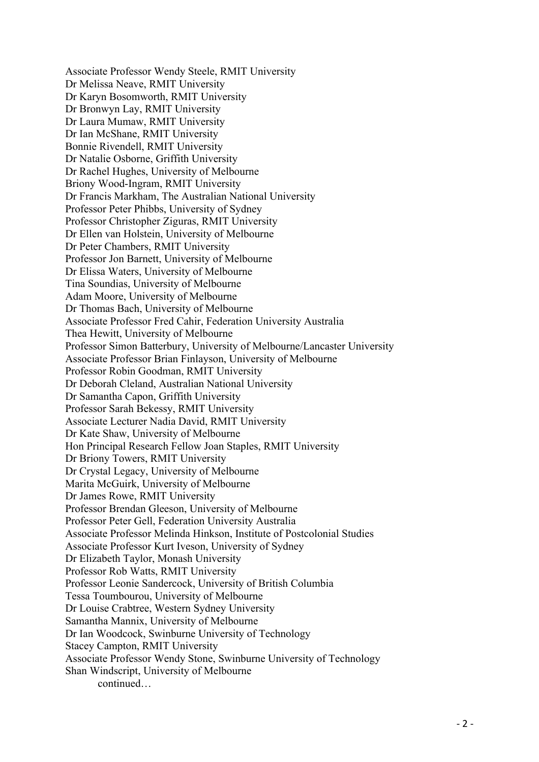Associate Professor Wendy Steele, RMIT University Dr Melissa Neave, RMIT University Dr Karyn Bosomworth, RMIT University Dr Bronwyn Lay, RMIT University Dr Laura Mumaw, RMIT University Dr Ian McShane, RMIT University Bonnie Rivendell, RMIT University Dr Natalie Osborne, Griffith University Dr Rachel Hughes, University of Melbourne Briony Wood-Ingram, RMIT University Dr Francis Markham, The Australian National University Professor Peter Phibbs, University of Sydney Professor Christopher Ziguras, RMIT University Dr Ellen van Holstein, University of Melbourne Dr Peter Chambers, RMIT University Professor Jon Barnett, University of Melbourne Dr Elissa Waters, University of Melbourne Tina Soundias, University of Melbourne Adam Moore, University of Melbourne Dr Thomas Bach, University of Melbourne Associate Professor Fred Cahir, Federation University Australia Thea Hewitt, University of Melbourne Professor Simon Batterbury, University of Melbourne/Lancaster University Associate Professor Brian Finlayson, University of Melbourne Professor Robin Goodman, RMIT University Dr Deborah Cleland, Australian National University Dr Samantha Capon, Griffith University Professor Sarah Bekessy, RMIT University Associate Lecturer Nadia David, RMIT University Dr Kate Shaw, University of Melbourne Hon Principal Research Fellow Joan Staples, RMIT University Dr Briony Towers, RMIT University Dr Crystal Legacy, University of Melbourne Marita McGuirk, University of Melbourne Dr James Rowe, RMIT University Professor Brendan Gleeson, University of Melbourne Professor Peter Gell, Federation University Australia Associate Professor Melinda Hinkson, Institute of Postcolonial Studies Associate Professor Kurt Iveson, University of Sydney Dr Elizabeth Taylor, Monash University Professor Rob Watts, RMIT University Professor Leonie Sandercock, University of British Columbia Tessa Toumbourou, University of Melbourne Dr Louise Crabtree, Western Sydney University Samantha Mannix, University of Melbourne Dr Ian Woodcock, Swinburne University of Technology Stacey Campton, RMIT University Associate Professor Wendy Stone, Swinburne University of Technology Shan Windscript, University of Melbourne continued…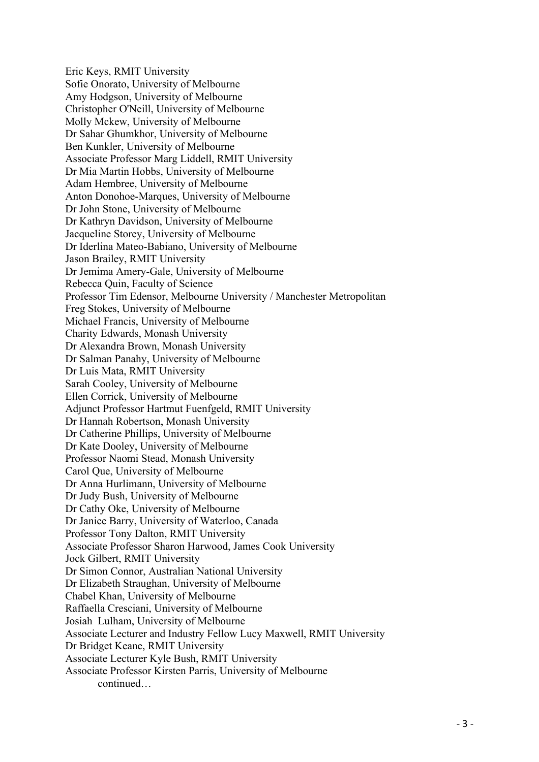Eric Keys, RMIT University Sofie Onorato, University of Melbourne Amy Hodgson, University of Melbourne Christopher O'Neill, University of Melbourne Molly Mckew, University of Melbourne Dr Sahar Ghumkhor, University of Melbourne Ben Kunkler, University of Melbourne Associate Professor Marg Liddell, RMIT University Dr Mia Martin Hobbs, University of Melbourne Adam Hembree, University of Melbourne Anton Donohoe-Marques, University of Melbourne Dr John Stone, University of Melbourne Dr Kathryn Davidson, University of Melbourne Jacqueline Storey, University of Melbourne Dr Iderlina Mateo-Babiano, University of Melbourne Jason Brailey, RMIT University Dr Jemima Amery-Gale, University of Melbourne Rebecca Quin, Faculty of Science Professor Tim Edensor, Melbourne University / Manchester Metropolitan Freg Stokes, University of Melbourne Michael Francis, University of Melbourne Charity Edwards, Monash University Dr Alexandra Brown, Monash University Dr Salman Panahy, University of Melbourne Dr Luis Mata, RMIT University Sarah Cooley, University of Melbourne Ellen Corrick, University of Melbourne Adjunct Professor Hartmut Fuenfgeld, RMIT University Dr Hannah Robertson, Monash University Dr Catherine Phillips, University of Melbourne Dr Kate Dooley, University of Melbourne Professor Naomi Stead, Monash University Carol Que, University of Melbourne Dr Anna Hurlimann, University of Melbourne Dr Judy Bush, University of Melbourne Dr Cathy Oke, University of Melbourne Dr Janice Barry, University of Waterloo, Canada Professor Tony Dalton, RMIT University Associate Professor Sharon Harwood, James Cook University Jock Gilbert, RMIT University Dr Simon Connor, Australian National University Dr Elizabeth Straughan, University of Melbourne Chabel Khan, University of Melbourne Raffaella Cresciani, University of Melbourne Josiah Lulham, University of Melbourne Associate Lecturer and Industry Fellow Lucy Maxwell, RMIT University Dr Bridget Keane, RMIT University Associate Lecturer Kyle Bush, RMIT University Associate Professor Kirsten Parris, University of Melbourne continued…